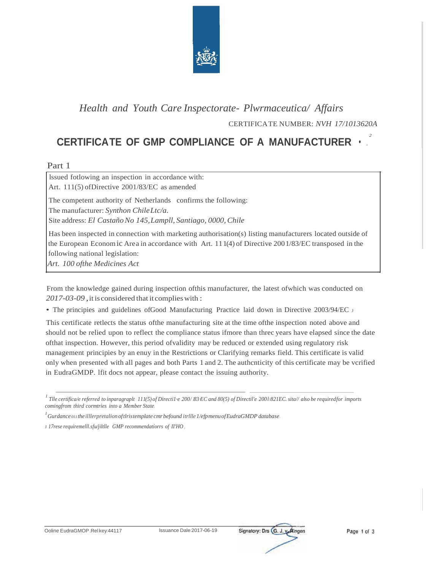

## Health and Youth Care Inspectorate- Plwrmaceutica/ Affairs

CERTIFICATE NUMBER: NVH 17/1013620A

## CERTIFICATE OF GMP COMPLIANCE OF A MANUFACTURER

Part 1

Issued fotlowing an inspection in accordance with: Art. 111(5) of Directive 2001/83/EC as amended The competent authority of Netherlands confirms the following: The manufacturer: Synthon Chile Ltc/a. Site address: El Castaño No 145, Lampll, Santiago, 0000, Chile Has been inspected in connection with marketing authorisation(s) listing manufacturers located outside of the European Economic Area in accordance with Art. 111(4) of Directive 2001/83/EC transposed in the following national legislation: Art. 100 of the Medicines Act

From the knowledge gained during inspection of this manufacturer, the latest of which was conducted on 2017-03-09, it is considered that it complies with:

• The principies and guidelines of Good Manufacturing Practice laid down in Directive 2003/94/EC J

This certificate retlects the status of the manufacturing site at the time of the inspection noted above and should not be relied upon to reflect the compliance status ifmore than threc years have elapsed since the date of that inspection. However, this period of validity may be reduced or extended using regulatory risk management principies by an enuy in the Restrictions or Clarifying remarks field. This certificate is valid only when presented with all pages and both Parts 1 and 2. The authorities of this certificate may be verified in EudraGMDP. If it does not appear, please contact the issuing authority.

 $^{\mathit{I}}$ Gurdance 011 the illlerpretalion of tlristemplate cmr befound itrllle 1/efpmenu of EudraGMDP database.

J 17rese requiremelll.sfu/jiltlle GMP recommendatiorrs of II'HO



<sup>&</sup>lt;sup>1</sup> Tlle certifica/e referred to inparagraplt 111(5) of Directi1 $\cdot$ e 200/ /B3 EC and 80(5) of Directil'e 2001/821EC. sita// also be requiredfor imports comingfrom third cormtries into a Member State.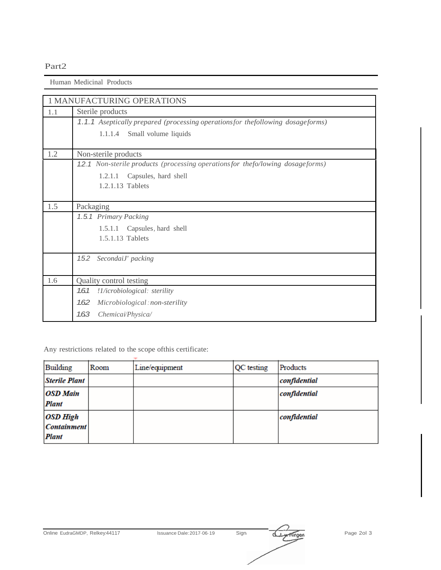## Part2

Human Medicinal Products

|     | <b>1 MANUFACTURING OPERATIONS</b>                                              |  |  |  |  |  |
|-----|--------------------------------------------------------------------------------|--|--|--|--|--|
| 1.1 | Sterile products                                                               |  |  |  |  |  |
|     | 1.1.1 Aseptically prepared (processing operationsfor thefollowing dosageforms) |  |  |  |  |  |
|     | Small volume liquids<br>1.1.1.4                                                |  |  |  |  |  |
|     |                                                                                |  |  |  |  |  |
| 1.2 | Non-sterile products                                                           |  |  |  |  |  |
|     | 1.2.1 Non-sterile products (processing operationsfor thefo/lowing dosageforms) |  |  |  |  |  |
|     | Capsules, hard shell<br>1.2.1.1                                                |  |  |  |  |  |
|     | 1.2.1.13 Tablets                                                               |  |  |  |  |  |
|     |                                                                                |  |  |  |  |  |
| 1.5 | Packaging                                                                      |  |  |  |  |  |
|     | 1.5.1 Primary Packing                                                          |  |  |  |  |  |
|     | Capsules, hard shell<br>1.5.1.1                                                |  |  |  |  |  |
|     | 1.5.1.13 Tablets                                                               |  |  |  |  |  |
|     |                                                                                |  |  |  |  |  |
|     | 1.5.2 SecondaiJ' packing                                                       |  |  |  |  |  |
|     |                                                                                |  |  |  |  |  |
| 1.6 | Quality control testing                                                        |  |  |  |  |  |
|     | 1.61<br>!1/icrobiological: sterility                                           |  |  |  |  |  |
|     | 1.62<br>Microbiological: non-sterility                                         |  |  |  |  |  |
|     | 1.63<br>Chemicai/Physica/                                                      |  |  |  |  |  |

Any restrictions related to the scope ofthis certificate:

| Building                 | Room | Line/equipment | QC testing | Products     |
|--------------------------|------|----------------|------------|--------------|
| <b>Sterile Plant</b>     |      |                |            | confidential |
| <b>OSD Main</b>          |      |                |            | confidential |
| Plant<br><b>OSD High</b> |      |                |            | confidential |
| <b>Containment</b>       |      |                |            |              |
| Plant                    |      |                |            |              |

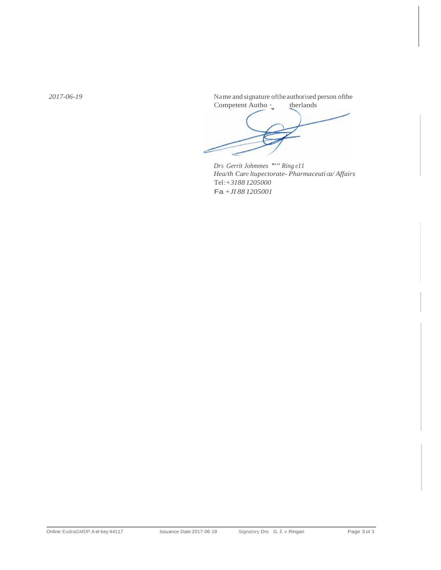2017-06-19

Name and signature of the authorised person of the Competent Autho: therlands

Drs Gerrit Johnmes """ Ring el l Hea/th Care ltupectorate-Pharmaceutica/Affairs Tel:+31881205000 Fa +JI 88 1205001